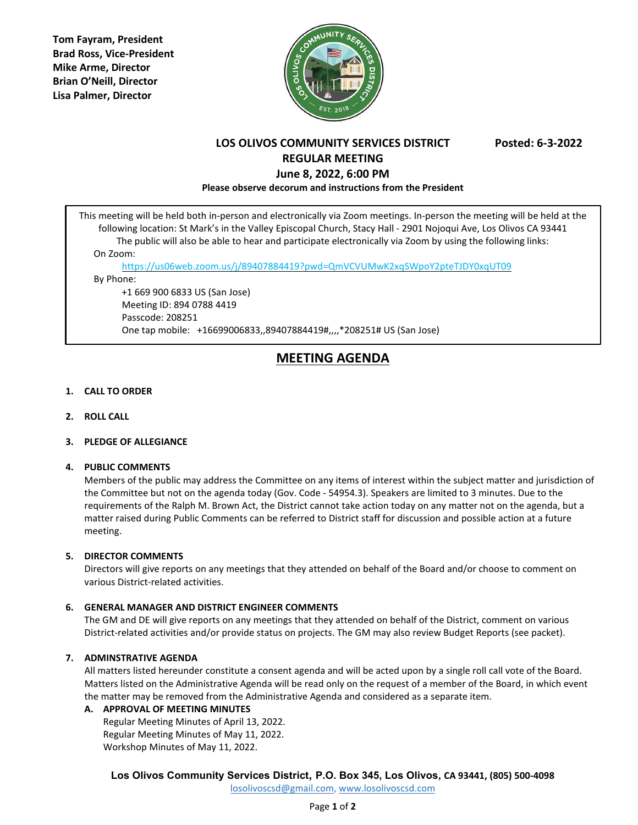**Tom Fayram, President Brad Ross, Vice-President Mike Arme, Director Brian O'Neill, Director Lisa Palmer, Director**



# **LOS OLIVOS COMMUNITY SERVICES DISTRICT Posted: 6-3-2022 REGULAR MEETING June 8, 2022, 6:00 PM**

**Please observe decorum and instructions from the President**

This meeting will be held both in-person and electronically via Zoom meetings. In-person the meeting will be held at the following location: St Mark's in the Valley Episcopal Church, Stacy Hall - 2901 Nojoqui Ave, Los Olivos CA 93441 The public will also be able to hear and participate electronically via Zoom by using the following links: On Zoom:

<https://us06web.zoom.us/j/89407884419?pwd=QmVCVUMwK2xqSWpoY2pteTJDY0xqUT09>

By Phone:

+1 669 900 6833 US (San Jose) Meeting ID: 894 0788 4419 Passcode: 208251 One tap mobile: +16699006833,,89407884419#,,,,\*208251# US (San Jose)

### **MEETING AGENDA**

#### **1. CALL TO ORDER**

**2. ROLL CALL**

#### **3. PLEDGE OF ALLEGIANCE**

#### **4. PUBLIC COMMENTS**

Members of the public may address the Committee on any items of interest within the subject matter and jurisdiction of the Committee but not on the agenda today (Gov. Code - 54954.3). Speakers are limited to 3 minutes. Due to the requirements of the Ralph M. Brown Act, the District cannot take action today on any matter not on the agenda, but a matter raised during Public Comments can be referred to District staff for discussion and possible action at a future meeting.

#### **5. DIRECTOR COMMENTS**

Directors will give reports on any meetings that they attended on behalf of the Board and/or choose to comment on various District-related activities.

#### **6. GENERAL MANAGER AND DISTRICT ENGINEER COMMENTS**

The GM and DE will give reports on any meetings that they attended on behalf of the District, comment on various District-related activities and/or provide status on projects. The GM may also review Budget Reports (see packet).

#### **7. ADMINSTRATIVE AGENDA**

All matters listed hereunder constitute a consent agenda and will be acted upon by a single roll call vote of the Board. Matters listed on the Administrative Agenda will be read only on the request of a member of the Board, in which event the matter may be removed from the Administrative Agenda and considered as a separate item.

#### **A. APPROVAL OF MEETING MINUTES**

Regular Meeting Minutes of April 13, 2022. Regular Meeting Minutes of May 11, 2022. Workshop Minutes of May 11, 2022.

**Los Olivos Community Services District, P.O. Box 345, Los Olivos, CA 93441, (805) 500-4098**

[losolivoscsd@gmail.com,](mailto:losolivoscsd@gmail.com) [www.losolivoscsd.com](mailto:districtoffice@smvwcd.org)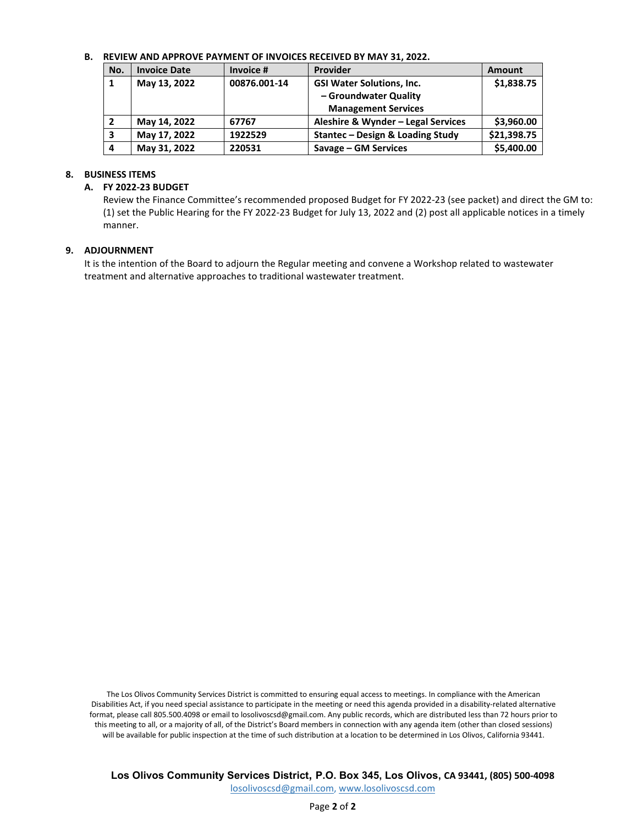#### **B. REVIEW AND APPROVE PAYMENT OF INVOICES RECEIVED BY MAY 31, 2022.**

| No. | <b>Invoice Date</b> | Invoice #    | Provider                           | Amount      |
|-----|---------------------|--------------|------------------------------------|-------------|
|     | May 13, 2022        | 00876.001-14 | <b>GSI Water Solutions, Inc.</b>   | \$1,838.75  |
|     |                     |              | - Groundwater Quality              |             |
|     |                     |              | <b>Management Services</b>         |             |
|     | May 14, 2022        | 67767        | Aleshire & Wynder - Legal Services | \$3,960.00  |
| 3   | May 17, 2022        | 1922529      | Stantec - Design & Loading Study   | \$21,398.75 |
| 4   | May 31, 2022        | 220531       | Savage – GM Services               | \$5,400.00  |

#### **8. BUSINESS ITEMS**

#### **A. FY 2022-23 BUDGET**

Review the Finance Committee's recommended proposed Budget for FY 2022-23 (see packet) and direct the GM to: (1) set the Public Hearing for the FY 2022-23 Budget for July 13, 2022 and (2) post all applicable notices in a timely manner.

#### **9. ADJOURNMENT**

It is the intention of the Board to adjourn the Regular meeting and convene a Workshop related to wastewater treatment and alternative approaches to traditional wastewater treatment.

The Los Olivos Community Services District is committed to ensuring equal access to meetings. In compliance with the American Disabilities Act, if you need special assistance to participate in the meeting or need this agenda provided in a disability-related alternative format, please call 805.500.4098 or email to losolivoscsd@gmail.com. Any public records, which are distributed less than 72 hours prior to this meeting to all, or a majority of all, of the District's Board members in connection with any agenda item (other than closed sessions) will be available for public inspection at the time of such distribution at a location to be determined in Los Olivos, California 93441.

**Los Olivos Community Services District, P.O. Box 345, Los Olivos, CA 93441, (805) 500-4098**

[losolivoscsd@gmail.com,](mailto:losolivoscsd@gmail.com) [www.losolivoscsd.com](mailto:districtoffice@smvwcd.org)